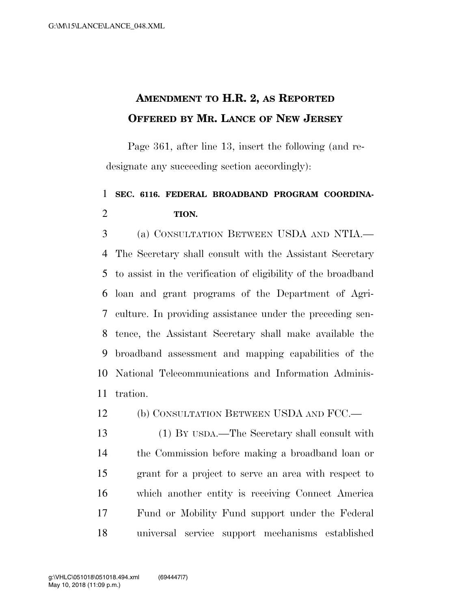## **AMENDMENT TO H.R. 2, AS REPORTED OFFERED BY MR. LANCE OF NEW JERSEY**

Page 361, after line 13, insert the following (and redesignate any succeeding section accordingly):

## **SEC. 6116. FEDERAL BROADBAND PROGRAM COORDINA-TION.**

 (a) CONSULTATION BETWEEN USDA AND NTIA.— The Secretary shall consult with the Assistant Secretary to assist in the verification of eligibility of the broadband loan and grant programs of the Department of Agri- culture. In providing assistance under the preceding sen- tence, the Assistant Secretary shall make available the broadband assessment and mapping capabilities of the National Telecommunications and Information Adminis-tration.

12 (b) CONSULTATION BETWEEN USDA AND FCC.—

 (1) BY USDA.—The Secretary shall consult with the Commission before making a broadband loan or grant for a project to serve an area with respect to which another entity is receiving Connect America Fund or Mobility Fund support under the Federal universal service support mechanisms established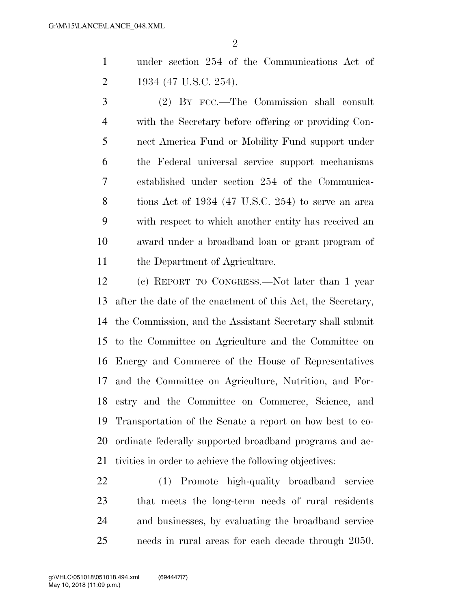$\mathfrak{D}$ 

 under section 254 of the Communications Act of 1934 (47 U.S.C. 254).

 (2) BY FCC.—The Commission shall consult with the Secretary before offering or providing Con- nect America Fund or Mobility Fund support under the Federal universal service support mechanisms established under section 254 of the Communica- tions Act of 1934 (47 U.S.C. 254) to serve an area with respect to which another entity has received an award under a broadband loan or grant program of the Department of Agriculture.

 (c) REPORT TO CONGRESS.—Not later than 1 year after the date of the enactment of this Act, the Secretary, the Commission, and the Assistant Secretary shall submit to the Committee on Agriculture and the Committee on Energy and Commerce of the House of Representatives and the Committee on Agriculture, Nutrition, and For- estry and the Committee on Commerce, Science, and Transportation of the Senate a report on how best to co- ordinate federally supported broadband programs and ac-tivities in order to achieve the following objectives:

 (1) Promote high-quality broadband service that meets the long-term needs of rural residents and businesses, by evaluating the broadband service needs in rural areas for each decade through 2050.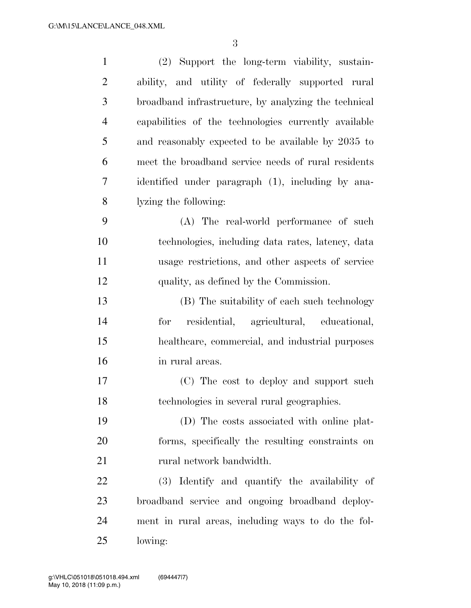| $\mathbf{1}$   | (2) Support the long-term viability, sustain-        |
|----------------|------------------------------------------------------|
| $\overline{c}$ | ability, and utility of federally supported rural    |
| 3              | broadband infrastructure, by analyzing the technical |
| $\overline{4}$ | capabilities of the technologies currently available |
| 5              | and reasonably expected to be available by 2035 to   |
| 6              | meet the broadband service needs of rural residents  |
| 7              | identified under paragraph (1), including by ana-    |
| 8              | lyzing the following:                                |
| 9              | (A) The real-world performance of such               |
| 10             | technologies, including data rates, latency, data    |
| 11             | usage restrictions, and other aspects of service     |
| 12             | quality, as defined by the Commission.               |
| 13             | (B) The suitability of each such technology          |
| 14             | residential, agricultural, educational,<br>for       |
| 15             | healthcare, commercial, and industrial purposes      |
| 16             | in rural areas.                                      |
| 17             | (C) The cost to deploy and support such              |
| 18             | technologies in several rural geographies.           |
| 19             | (D) The costs associated with online plat-           |
| 20             | forms, specifically the resulting constraints on     |
| 21             | rural network bandwidth.                             |
| 22             | (3) Identify and quantify the availability of        |
| 23             | broadband service and ongoing broadband deploy-      |
| 24             | ment in rural areas, including ways to do the fol-   |
| 25             | lowing:                                              |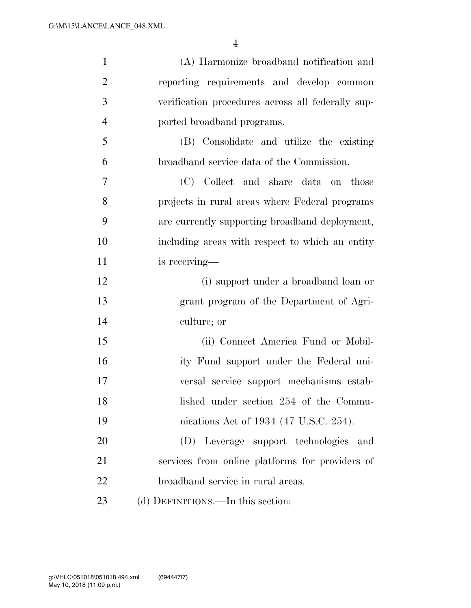| $\mathbf{1}$   | (A) Harmonize broadband notification and          |
|----------------|---------------------------------------------------|
| $\overline{2}$ | reporting requirements and develop common         |
| 3              | verification procedures across all federally sup- |
| $\overline{4}$ | ported broadband programs.                        |
| 5              | (B) Consolidate and utilize the existing          |
| 6              | broadband service data of the Commission.         |
| 7              | (C) Collect and share data on those               |
| 8              | projects in rural areas where Federal programs    |
| 9              | are currently supporting broadband deployment,    |
| 10             | including areas with respect to which an entity   |
| 11             | is receiving-                                     |
| 12             | (i) support under a broadband loan or             |
| 13             | grant program of the Department of Agri-          |
| 14             | culture; or                                       |
| 15             | (ii) Connect America Fund or Mobil-               |
| 16             | ity Fund support under the Federal uni-           |
| 17             | versal service support mechanisms estab-          |
| 18             | lished under section 254 of the Commu-            |
| 19             | nications Act of 1934 (47 U.S.C. 254).            |
| 20             | (D) Leverage support technologies and             |
| 21             | services from online platforms for providers of   |
| 22             | broadband service in rural areas.                 |
| 23             | (d) DEFINITIONS.—In this section:                 |